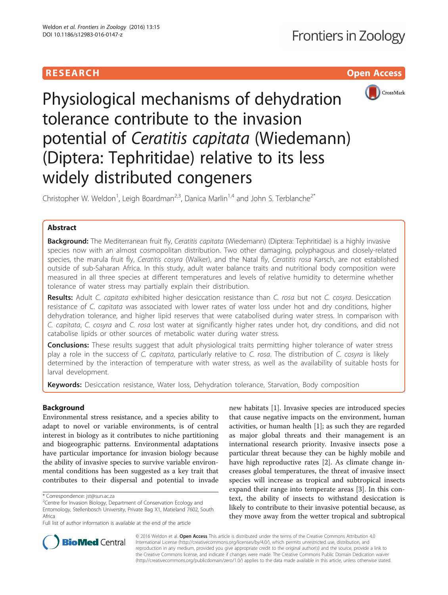# **RESEARCH CHILD CONTROL** CONTROL CONTROL CONTROL CONTROL CONTROL CONTROL CONTROL CONTROL CONTROL CONTROL CONTROL



Physiological mechanisms of dehydration tolerance contribute to the invasion potential of Ceratitis capitata (Wiedemann) (Diptera: Tephritidae) relative to its less widely distributed congeners

Christopher W. Weldon<sup>1</sup>, Leigh Boardman<sup>2,3</sup>, Danica Marlin<sup>1,4</sup> and John S. Terblanche<sup>2\*</sup>

# Abstract

Background: The Mediterranean fruit fly, Ceratitis capitata (Wiedemann) (Diptera: Tephritidae) is a highly invasive species now with an almost cosmopolitan distribution. Two other damaging, polyphagous and closely-related species, the marula fruit fly, Ceratitis cosyra (Walker), and the Natal fly, Ceratitis rosa Karsch, are not established outside of sub-Saharan Africa. In this study, adult water balance traits and nutritional body composition were measured in all three species at different temperatures and levels of relative humidity to determine whether tolerance of water stress may partially explain their distribution.

Results: Adult C. capitata exhibited higher desiccation resistance than C. rosa but not C. cosyra. Desiccation resistance of C. capitata was associated with lower rates of water loss under hot and dry conditions, higher dehydration tolerance, and higher lipid reserves that were catabolised during water stress. In comparison with C. capitata, C. cosyra and C. rosa lost water at significantly higher rates under hot, dry conditions, and did not catabolise lipids or other sources of metabolic water during water stress.

**Conclusions:** These results suggest that adult physiological traits permitting higher tolerance of water stress play a role in the success of C. capitata, particularly relative to C. rosa. The distribution of C. cosyra is likely determined by the interaction of temperature with water stress, as well as the availability of suitable hosts for larval development.

Keywords: Desiccation resistance, Water loss, Dehydration tolerance, Starvation, Body composition

# Background

Environmental stress resistance, and a species ability to adapt to novel or variable environments, is of central interest in biology as it contributes to niche partitioning and biogeographic patterns. Environmental adaptations have particular importance for invasion biology because the ability of invasive species to survive variable environmental conditions has been suggested as a key trait that contributes to their dispersal and potential to invade

new habitats [[1\]](#page-12-0). Invasive species are introduced species that cause negative impacts on the environment, human activities, or human health [[1](#page-12-0)]; as such they are regarded as major global threats and their management is an international research priority. Invasive insects pose a particular threat because they can be highly mobile and have high reproductive rates [\[2](#page-12-0)]. As climate change increases global temperatures, the threat of invasive insect species will increase as tropical and subtropical insects expand their range into temperate areas [[3](#page-13-0)]. In this context, the ability of insects to withstand desiccation is likely to contribute to their invasive potential because, as they move away from the wetter tropical and subtropical



© 2016 Weldon et al. Open Access This article is distributed under the terms of the Creative Commons Attribution 4.0 International License [\(http://creativecommons.org/licenses/by/4.0/](http://creativecommons.org/licenses/by/4.0/)), which permits unrestricted use, distribution, and reproduction in any medium, provided you give appropriate credit to the original author(s) and the source, provide a link to the Creative Commons license, and indicate if changes were made. The Creative Commons Public Domain Dedication waiver [\(http://creativecommons.org/publicdomain/zero/1.0/](http://creativecommons.org/publicdomain/zero/1.0/)) applies to the data made available in this article, unless otherwise stated.

<sup>\*</sup> Correspondence: [jst@sun.ac.za](mailto:jst@sun.ac.za) <sup>2</sup>

<sup>&</sup>lt;sup>2</sup> Centre for Invasion Biology, Department of Conservation Ecology and Entomology, Stellenbosch University, Private Bag X1, Matieland 7602, South Africa

Full list of author information is available at the end of the article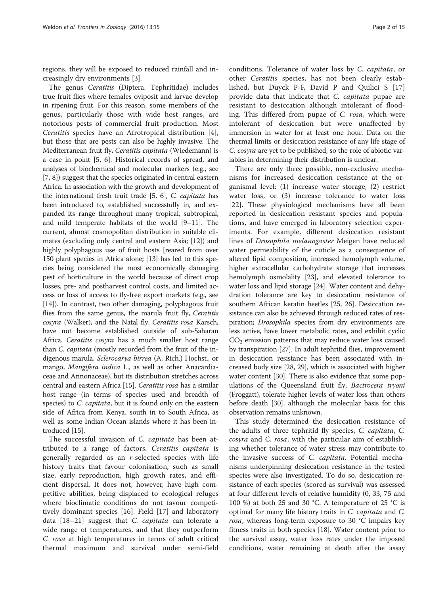regions, they will be exposed to reduced rainfall and increasingly dry environments [[3](#page-13-0)].

The genus Ceratitis (Diptera: Tephritidae) includes true fruit flies where females oviposit and larvae develop in ripening fruit. For this reason, some members of the genus, particularly those with wide host ranges, are notorious pests of commercial fruit production. Most Ceratitis species have an Afrotropical distribution [\[4](#page-13-0)], but those that are pests can also be highly invasive. The Mediterranean fruit fly, Ceratitis capitata (Wiedemann) is a case in point [\[5](#page-13-0), [6\]](#page-13-0). Historical records of spread, and analyses of biochemical and molecular markers (e.g., see [[7, 8](#page-13-0)]) suggest that the species originated in central eastern Africa. In association with the growth and development of the international fresh fruit trade [[5, 6\]](#page-13-0), C. capitata has been introduced to, established successfully in, and expanded its range throughout many tropical, subtropical, and mild temperate habitats of the world [[9](#page-13-0)–[11](#page-13-0)]. The current, almost cosmopolitan distribution in suitable climates (excluding only central and eastern Asia; [\[12](#page-13-0)]) and highly polyphagous use of fruit hosts [reared from over 150 plant species in Africa alone; [\[13\]](#page-13-0) has led to this species being considered the most economically damaging pest of horticulture in the world because of direct crop losses, pre- and postharvest control costs, and limited access or loss of access to fly-free export markets (e.g., see [[14](#page-13-0)]). In contrast, two other damaging, polyphagous fruit flies from the same genus, the marula fruit fly, Ceratitis cosyra (Walker), and the Natal fly, Ceratitis rosa Karsch, have not become established outside of sub-Saharan Africa. Ceratitis cosyra has a much smaller host range than C. capitata (mostly recorded from the fruit of the indigenous marula, Sclerocarya birrea (A. Rich.) Hochst., or mango, Mangifera indica L., as well as other Anacardiaceae and Annonaceae), but its distribution stretches across central and eastern Africa [\[15\]](#page-13-0). Ceratitis rosa has a similar host range (in terms of species used and breadth of species) to *C. capitata*, but it is found only on the eastern side of Africa from Kenya, south in to South Africa, as well as some Indian Ocean islands where it has been introduced [\[15\]](#page-13-0).

The successful invasion of C. capitata has been attributed to a range of factors. Ceratitis capitata is generally regarded as an r-selected species with life history traits that favour colonisation, such as small size, early reproduction, high growth rates, and efficient dispersal. It does not, however, have high competitive abilities, being displaced to ecological refuges where bioclimatic conditions do not favour competitively dominant species [[16\]](#page-13-0). Field [\[17](#page-13-0)] and laboratory data  $[18-21]$  $[18-21]$  $[18-21]$  $[18-21]$  suggest that C. *capitata* can tolerate a wide range of temperatures, and that they outperform C. rosa at high temperatures in terms of adult critical thermal maximum and survival under semi-field

conditions. Tolerance of water loss by C. capitata, or other Ceratitis species, has not been clearly established, but Duyck P-F, David P and Quilici S [\[17](#page-13-0)] provide data that indicate that C. capitata pupae are resistant to desiccation although intolerant of flooding. This differed from pupae of C. rosa, which were intolerant of desiccation but were unaffected by immersion in water for at least one hour. Data on the thermal limits or desiccation resistance of any life stage of C. cosyra are yet to be published, so the role of abiotic variables in determining their distribution is unclear.

There are only three possible, non-exclusive mechanisms for increased desiccation resistance at the organismal level: (1) increase water storage, (2) restrict water loss, or (3) increase tolerance to water loss [[22\]](#page-13-0). These physiological mechanisms have all been reported in desiccation resistant species and populations, and have emerged in laboratory selection experiments. For example, different desiccation resistant lines of Drosophila melanogaster Meigen have reduced water permeability of the cuticle as a consequence of altered lipid composition, increased hemolymph volume, higher extracellular carbohydrate storage that increases hemolymph osmolality [\[23\]](#page-13-0), and elevated tolerance to water loss and lipid storage [[24](#page-13-0)]. Water content and dehydration tolerance are key to desiccation resistance of southern African keratin beetles [\[25, 26](#page-13-0)]. Desiccation resistance can also be achieved through reduced rates of respiration; *Drosophila* species from dry environments are less active, have lower metabolic rates, and exhibit cyclic  $CO<sub>2</sub>$  emission patterns that may reduce water loss caused by transpiration [\[27\]](#page-13-0). In adult tephritid flies, improvement in desiccation resistance has been associated with increased body size [[28](#page-13-0), [29\]](#page-13-0), which is associated with higher water content [\[30](#page-13-0)]. There is also evidence that some populations of the Queensland fruit fly, Bactrocera tryoni (Froggatt), tolerate higher levels of water loss than others before death [[30](#page-13-0)], although the molecular basis for this observation remains unknown.

This study determined the desiccation resistance of the adults of three tephritid fly species, C. capitata, C. cosyra and C. rosa, with the particular aim of establishing whether tolerance of water stress may contribute to the invasive success of C. capitata. Potential mechanisms underpinning desiccation resistance in the tested species were also investigated. To do so, desiccation resistance of each species (scored as survival) was assessed at four different levels of relative humidity (0, 33, 75 and 100 %) at both 25 and 30 °C. A temperature of 25 °C is optimal for many life history traits in C. capitata and C. rosa, whereas long-term exposure to 30 °C impairs key fitness traits in both species [[18\]](#page-13-0). Water content prior to the survival assay, water loss rates under the imposed conditions, water remaining at death after the assay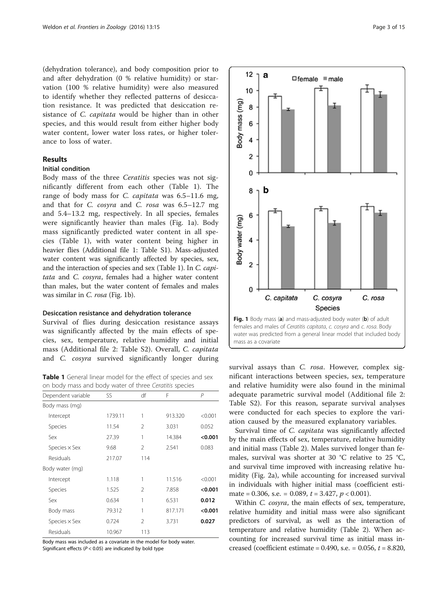(dehydration tolerance), and body composition prior to and after dehydration (0 % relative humidity) or starvation (100 % relative humidity) were also measured to identify whether they reflected patterns of desiccation resistance. It was predicted that desiccation resistance of C. capitata would be higher than in other species, and this would result from either higher body water content, lower water loss rates, or higher tolerance to loss of water.

## Results

## Initial condition

Body mass of the three Ceratitis species was not significantly different from each other (Table 1). The range of body mass for C. capitata was 6.5–11.6 mg, and that for C. cosyra and C. rosa was 6.5–12.7 mg and 5.4–13.2 mg, respectively. In all species, females were significantly heavier than males (Fig. 1a). Body mass significantly predicted water content in all species (Table 1), with water content being higher in heavier flies (Additional file [1:](#page-12-0) Table S1). Mass-adjusted water content was significantly affected by species, sex, and the interaction of species and sex (Table 1). In C. capitata and C. cosyra, females had a higher water content than males, but the water content of females and males was similar in C. rosa (Fig. 1b).

#### Desiccation resistance and dehydration tolerance

Survival of flies during desiccation resistance assays was significantly affected by the main effects of species, sex, temperature, relative humidity and initial mass (Additional file [2](#page-12-0): Table S2). Overall, C. capitata and C. cosyra survived significantly longer during

Table 1 General linear model for the effect of species and sex on body mass and body water of three Ceratitis species

| Dependent variable   | SS      | df             | F       | P       |
|----------------------|---------|----------------|---------|---------|
| Body mass (mg)       |         |                |         |         |
| Intercept            | 1739.11 | 1              | 913.320 | < 0.001 |
| Species              | 11.54   | $\mathcal{P}$  | 3.031   | 0.052   |
| Sex                  | 27.39   | 1              |         | < 0.001 |
| Species $\times$ Sex | 9.68    | $\mathfrak{D}$ | 2.541   | 0.083   |
| <b>Residuals</b>     | 217.07  | 114            |         |         |
| Body water (mg)      |         |                |         |         |
| Intercept            | 1.118   | 1              | 11.516  | < 0.001 |
| Species              | 1.525   | $\mathfrak{D}$ | 7.858   | < 0.001 |
| Sex                  | 0.634   | 1              | 6.531   | 0.012   |
| Body mass            | 79.312  | 1              | 817.171 | < 0.001 |
| Species $\times$ Sex | 0.724   | $\mathcal{P}$  | 3.731   | 0.027   |
| Residuals            | 10.967  | 113            |         |         |

Body mass was included as a covariate in the model for body water. Significant effects ( $P < 0.05$ ) are indicated by bold type



survival assays than C. rosa. However, complex significant interactions between species, sex, temperature and relative humidity were also found in the minimal adequate parametric survival model (Additional file [2](#page-12-0): Table S2). For this reason, separate survival analyses were conducted for each species to explore the variation caused by the measured explanatory variables.

Survival time of C. capitata was significantly affected by the main effects of sex, temperature, relative humidity and initial mass (Table [2](#page-3-0)). Males survived longer than females, survival was shorter at 30 °C relative to 25 °C, and survival time improved with increasing relative humidity (Fig. [2a\)](#page-3-0), while accounting for increased survival in individuals with higher initial mass (coefficient estimate = 0.306, s.e. = 0.089,  $t = 3.427$ ,  $p < 0.001$ ).

Within C. cosyra, the main effects of sex, temperature, relative humidity and initial mass were also significant predictors of survival, as well as the interaction of temperature and relative humidity (Table [2](#page-3-0)). When accounting for increased survival time as initial mass increased (coefficient estimate =  $0.490$ , s.e. =  $0.056$ ,  $t = 8.820$ ,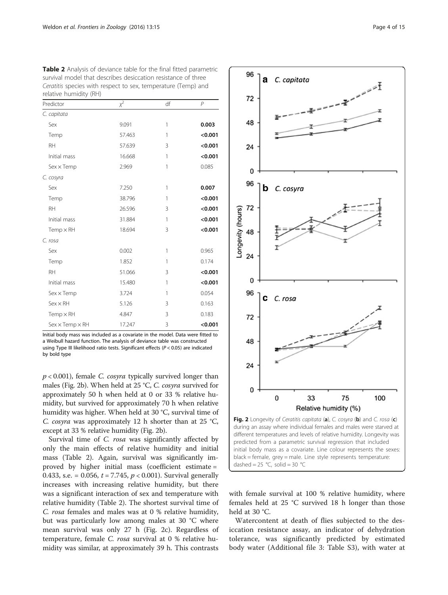<span id="page-3-0"></span>Table 2 Analysis of deviance table for the final fitted parametric survival model that describes desiccation resistance of three Ceratitis species with respect to sex, temperature (Temp) and relative humidity (RH)

| Predictor                     | $\chi^2$ | df | P       |
|-------------------------------|----------|----|---------|
| C. capitata                   |          |    |         |
| Sex                           | 9.091    | 1  | 0.003   |
| Temp                          | 57.463   | 1  | < 0.001 |
| <b>RH</b>                     | 57.639   | 3  | < 0.001 |
| Initial mass                  | 16.668   | 1  | < 0.001 |
| $Sex \times Temp$             | 2.969    | 1  | 0.085   |
| C. cosyra                     |          |    |         |
| Sex                           | 7.250    | 1  | 0.007   |
| Temp                          | 38.796   | 1  | < 0.001 |
| <b>RH</b>                     | 26.596   | 3  | < 0.001 |
| Initial mass                  | 31.884   | 1  | < 0.001 |
| $Temp \times RH$              | 18.694   | 3  | < 0.001 |
| C. rosa                       |          |    |         |
| Sex                           | 0.002    | 1  | 0.965   |
| Temp                          | 1.852    | 1  | 0.174   |
| <b>RH</b>                     | 51.066   | 3  | < 0.001 |
| Initial mass                  | 15.480   | 1  | < 0.001 |
| $Sex \times Temp$             | 3.724    | 1  | 0.054   |
| $Sex \times RH$               | 5.126    | 3  | 0.163   |
| $Temp \times RH$              | 4.847    | 3  | 0.183   |
| Sex $\times$ Temp $\times$ RH | 17.247   | 3  | < 0.001 |

Initial body mass was included as a covariate in the model. Data were fitted to a Weibull hazard function. The analysis of deviance table was constructed using Type III likelihood ratio tests. Significant effects (P < 0.05) are indicated by bold type

 $p < 0.001$ ), female *C. cosyra* typically survived longer than males (Fig. 2b). When held at 25 °C, C. cosyra survived for approximately 50 h when held at 0 or 33 % relative humidity, but survived for approximately 70 h when relative humidity was higher. When held at 30 °C, survival time of C. cosyra was approximately 12 h shorter than at 25 °C, except at 33 % relative humidity (Fig. 2b).

Survival time of *C. rosa* was significantly affected by only the main effects of relative humidity and initial mass (Table 2). Again, survival was significantly improved by higher initial mass (coefficient estimate = 0.433, s.e. = 0.056,  $t = 7.745$ ,  $p < 0.001$ ). Survival generally increases with increasing relative humidity, but there was a significant interaction of sex and temperature with relative humidity (Table 2). The shortest survival time of C. rosa females and males was at 0 % relative humidity, but was particularly low among males at 30 °C where mean survival was only 27 h (Fig. 2c). Regardless of temperature, female C. rosa survival at 0 % relative humidity was similar, at approximately 39 h. This contrasts



with female survival at 100 % relative humidity, where females held at 25 °C survived 18 h longer than those held at 30 °C.

Watercontent at death of flies subjected to the desiccation resistance assay, an indicator of dehydration tolerance, was significantly predicted by estimated body water (Additional file [3](#page-12-0): Table S3), with water at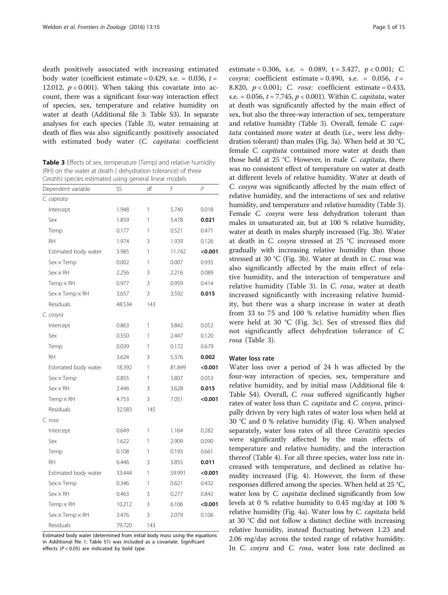death positively associated with increasing estimated body water (coefficient estimate =  $0.429$ , s.e. =  $0.036$ ,  $t =$ 12.012,  $p < 0.001$ ). When taking this covariate into account, there was a significant four-way interaction effect of species, sex, temperature and relative humidity on water at death (Additional file [3:](#page-12-0) Table S3). In separate analyses for each species (Table 3), water remaining at death of flies was also significantly positively associated with estimated body water (C. capitata: coefficient

Table 3 Effects of sex, temperature (Temp) and relative humidity (RH) on the water at death ( dehydration tolerance) of three Ceratitis species estimated using general linear models

| Dependent variable          | SS     | df  | F      | P       |
|-----------------------------|--------|-----|--------|---------|
| C. capitata                 |        |     |        |         |
| Intercept                   | 1.948  | 1   | 5.740  | 0.018   |
| Sex                         | 1.859  | 1   | 5.478  | 0.021   |
| Temp                        | 0.177  | 1   | 0.521  | 0.471   |
| <b>RH</b>                   | 1.974  | 3   | 1.939  | 0.126   |
| Estimated body water        | 3.985  | 1   | 11.742 | < 0.001 |
| $Sex \times Temp$           | 0.002  | 1   | 0.007  | 0.935   |
| $Sex \times RH$             | 2.256  | 3   | 2.216  | 0.089   |
| $Temp \times RH$            | 0.977  | 3   | 0.959  | 0.414   |
| $Sex \times Temp \times RH$ | 3.657  | 3   | 3.592  | 0.015   |
| Residuals                   | 48.534 | 143 |        |         |
| C. cosyra                   |        |     |        |         |
| Intercept                   | 0.863  | 1   | 3.842  | 0.052   |
| Sex                         | 0.550  | 1   | 2.447  | 0.120   |
| Temp                        | 0.039  | 1   | 0.172  | 0.679   |
| <b>RH</b>                   | 3.624  | 3   | 5.376  | 0.002   |
| Estimated body water        | 18.392 | 1   | 81.849 | < 0.001 |
| $Sex \times Temp$           | 0.855  | 1   | 3.807  | 0.053   |
| $Sex \times RH$             | 2.446  | 3   | 3.628  | 0.015   |
| $Temp \times RH$            | 4.753  | 3   | 7.051  | < 0.001 |
| Residuals                   | 32.583 | 145 |        |         |
| C. rosa                     |        |     |        |         |
| Intercept                   | 0.649  | 1   | 1.164  | 0.282   |
| Sex                         | 1.622  | 1   | 2.909  | 0.090   |
| Temp                        | 0.108  | 1   | 0.193  | 0.661   |
| <b>RH</b>                   | 6.446  | 3   | 3.855  | 0.011   |
| Estimated body water        | 33.444 | 1   | 59.991 | < 0.001 |
| $Sex \times Temp$           | 0.346  | 1   | 0.621  | 0.432   |
| $Sex \times RH$             | 0.463  | 3   | 0.277  | 0.842   |
| $Temp \times RH$            | 10.212 | 3   | 6.106  | < 0.001 |
| $Sex \times Temp \times RH$ | 3.476  | 3   | 2.079  | 0.106   |
| Residuals                   | 79.720 | 143 |        |         |

Estimated body water (determined from initial body mass using the equations in Additional file [1:](#page-12-0) Table S1) was included as a covariate. Significant effects ( $P < 0.05$ ) are indicated by bold type

estimate = 0.306, s.e. = 0.089,  $t = 3.427$ ,  $p < 0.001$ ; C. cosyra: coefficient estimate =  $0.490$ , s.e. =  $0.056$ , t = 8.820,  $p < 0.001$ ; C. rosa: coefficient estimate = 0.433, s.e. = 0.056,  $t = 7.745$ ,  $p < 0.001$ ). Within *C. capitata*, water at death was significantly affected by the main effect of sex, but also the three-way interaction of sex, temperature and relative humidity (Table 3). Overall, female C. capitata contained more water at death (i.e., were less dehydration tolerant) than males (Fig. [3a](#page-5-0)). When held at 30 °C, female C. capitata contained more water at death than those held at 25 °C. However, in male C. capitata, there was no consistent effect of temperature on water at death at different levels of relative humidity. Water at death of C. cosyra was significantly affected by the main effect of relative humidity, and the interactions of sex and relative humidity, and temperature and relative humidity (Table 3). Female C. cosyra were less dehydration tolerant than males in unsaturated air, but at 100 % relative humidity, water at death in males sharply increased (Fig. [3b](#page-5-0)). Water at death in C. cosyra stressed at 25 °C increased more gradually with increasing relative humidity than those stressed at 30 °C (Fig. [3b\)](#page-5-0). Water at death in C. rosa was also significantly affected by the main effect of relative humidity, and the interaction of temperature and relative humidity (Table 3). In C. rosa, water at death increased significantly with increasing relative humidity, but there was a sharp increase in water at death from 33 to 75 and 100 % relative humidity when flies were held at 30 °C (Fig. [3c\)](#page-5-0). Sex of stressed flies did not significantly affect dehydration tolerance of C. rosa (Table 3).

## Water loss rate

Water loss over a period of 24 h was affected by the four-way interaction of species, sex, temperature and relative humidity, and by initial mass (Additional file [4](#page-12-0): Table S4). Overall, C. rosa suffered significantly higher rates of water loss than C. capitata and C. cosyra, principally driven by very high rates of water loss when held at 30 °C and 0 % relative humidity (Fig. [4\)](#page-5-0). When analysed separately, water loss rates of all three Ceratitis species were significantly affected by the main effects of temperature and relative humidity, and the interaction thereof (Table [4\)](#page-6-0). For all three species, water loss rate increased with temperature, and declined as relative humidity increased (Fig. [4](#page-5-0)). However, the form of these responses differed among the species. When held at 25 °C, water loss by *C. capitata* declined significantly from low levels at 0 % relative humidity to 0.45 mg/day at 100 % relative humidity (Fig. [4a\)](#page-5-0). Water loss by C. capitata held at 30 °C did not follow a distinct decline with increasing relative humidity, instead fluctuating between 1.23 and 2.06 mg/day across the tested range of relative humidity. In *C. cosyra* and *C. rosa*, water loss rate declined as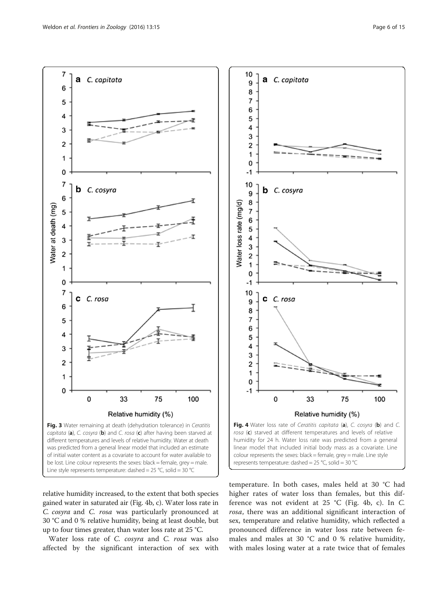<span id="page-5-0"></span>

relative humidity increased, to the extent that both species gained water in saturated air (Fig. 4b, c). Water loss rate in C. cosyra and C. rosa was particularly pronounced at 30 °C and 0 % relative humidity, being at least double, but up to four times greater, than water loss rate at 25 °C.

Water loss rate of C. cosyra and C. rosa was also affected by the significant interaction of sex with



temperature. In both cases, males held at 30 °C had higher rates of water loss than females, but this difference was not evident at 25 °C (Fig. 4b, c). In C. rosa, there was an additional significant interaction of sex, temperature and relative humidity, which reflected a pronounced difference in water loss rate between females and males at 30 °C and 0 % relative humidity, with males losing water at a rate twice that of females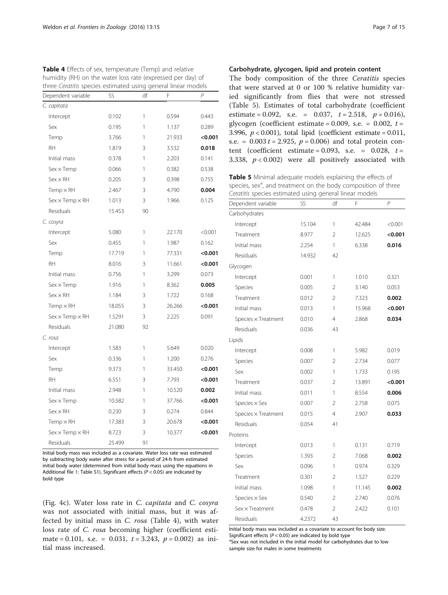| three Ceratitis species estimated using general linear models |        |    |        |         |  |  |
|---------------------------------------------------------------|--------|----|--------|---------|--|--|
| Dependent variable                                            | SS     | df | F      | P       |  |  |
| C. capitata                                                   |        |    |        |         |  |  |
| Intercept                                                     | 0.102  | 1  | 0.594  | 0.443   |  |  |
| Sex                                                           | 0.195  | 1  | 1.137  | 0.289   |  |  |
| Temp                                                          | 3.766  | 1  | 21.933 | < 0.001 |  |  |
| <b>RH</b>                                                     | 1.819  | 3  | 3.532  | 0.018   |  |  |
| Initial mass                                                  | 0.378  | 1  | 2.203  | 0.141   |  |  |
| $Sex \times Temp$                                             | 0.066  | 1  | 0.382  | 0.538   |  |  |
| $Sex \times RH$                                               | 0.205  | 3  | 0.398  | 0.755   |  |  |
| $Temp \times RH$                                              | 2.467  | 3  | 4.790  | 0.004   |  |  |
| Sex $\times$ Temp $\times$ RH                                 | 1.013  | 3  | 1.966  | 0.125   |  |  |
| Residuals                                                     | 15.453 | 90 |        |         |  |  |
| C. cosyra                                                     |        |    |        |         |  |  |
| Intercept                                                     | 5.080  | 1  | 22.170 | < 0.001 |  |  |
| Sex                                                           | 0.455  | 1  | 1.987  | 0.162   |  |  |
| Temp                                                          | 17.719 | 1  | 77.331 | < 0.001 |  |  |
| <b>RH</b>                                                     | 8.016  | 3  | 11.661 | < 0.001 |  |  |
| Initial mass                                                  | 0.756  | 1  | 3.299  | 0.073   |  |  |
| $Sex \times Temp$                                             | 1.916  | 1  | 8.362  | 0.005   |  |  |
| $Sex \times RH$                                               | 1.184  | 3  | 1.722  | 0.168   |  |  |
| $Temp \times RH$                                              | 18.055 | 3  | 26.266 | < 0.001 |  |  |
| Sex $\times$ Temp $\times$ RH                                 | 1.5291 | 3  | 2.225  | 0.091   |  |  |
| Residuals                                                     | 21.080 | 92 |        |         |  |  |
| C. rosa                                                       |        |    |        |         |  |  |
| Intercept                                                     | 1.583  | 1  | 5.649  | 0.020   |  |  |
| Sex                                                           | 0.336  | 1  | 1.200  | 0.276   |  |  |
| Temp                                                          | 9.373  | 1  | 33.450 | < 0.001 |  |  |
| <b>RH</b>                                                     | 6.551  | 3  | 7.793  | < 0.001 |  |  |
| Initial mass                                                  | 2.948  | 1  | 10.520 | 0.002   |  |  |
| $Sex \times Temp$                                             | 10.582 | 1  | 37.766 | < 0.001 |  |  |
| $Sex \times RH$                                               | 0.230  | 3  | 0.274  | 0.844   |  |  |
| $Temp \times RH$                                              | 17.383 | 3  | 20.678 | <0.001  |  |  |
| $Sex \times Temp \times RH$                                   | 8.723  | 3  | 10.377 | < 0.001 |  |  |
| Residuals                                                     | 25.499 | 91 |        |         |  |  |

<span id="page-6-0"></span>Table 4 Effects of sex, temperature (Temp) and relative humidity (RH) on the water loss rate (expressed per day) of

Initial body mass was included as a covariate. Water loss rate was estimated by subtracting body water after stress for a period of 24-h from estimated initial body water (determined from initial body mass using the equations in Additional file [1](#page-12-0): Table S1). Significant effects ( $P < 0.05$ ) are indicated by bold type

(Fig. [4c](#page-5-0)). Water loss rate in C. capitata and C. cosyra was not associated with initial mass, but it was affected by initial mass in C. rosa (Table 4), with water loss rate of C. rosa becoming higher (coefficient estimate = 0.101, s.e. = 0.031,  $t = 3.243$ ,  $p = 0.002$ ) as initial mass increased.

## Carbohydrate, glycogen, lipid and protein content

The body composition of the three Ceratitis species that were starved at 0 or 100 % relative humidity varied significantly from flies that were not stressed (Table 5). Estimates of total carbohydrate (coefficient estimate = 0.092, s.e. = 0.037,  $t = 2.518$ ,  $p = 0.016$ ), glycogen (coefficient estimate = 0.009, s.e. = 0.002,  $t =$ 3.996,  $p < 0.001$ ), total lipid (coefficient estimate = 0.011, s.e. =  $0.003 t = 2.925$ ,  $p = 0.006$ ) and total protein content (coefficient estimate = 0.093, s.e. = 0.028,  $t =$ 3.338,  $p < 0.002$ ) were all positively associated with

Table 5 Minimal adequate models explaining the effects of species, sex<sup>a</sup>, and treatment on the body composition of three Ceratitis species estimated using general linear models

| Dependent variable   | SS     | df             | F      | $\overline{P}$ |
|----------------------|--------|----------------|--------|----------------|
| Carbohydrates        |        |                |        |                |
| Intercept            | 15.104 | 1              | 42.484 | < 0.001        |
| Treatment            | 8.977  | $\overline{2}$ | 12.625 | < 0.001        |
| Initial mass         | 2.254  | 1              | 6.338  | 0.016          |
| Residuals            | 14.932 | 42             |        |                |
| Glycogen             |        |                |        |                |
| Intercept            | 0.001  | 1              | 1.010  | 0.321          |
| Species              | 0.005  | $\mathfrak{D}$ | 3.140  | 0.053          |
| Treatment            | 0.012  | $\overline{2}$ | 7.323  | 0.002          |
| Initial mass         | 0.013  | 1              | 15.968 | < 0.001        |
| Species x Treatment  | 0.010  | 4              | 2.868  | 0.034          |
| Residuals            | 0.036  | 43             |        |                |
| Lipids               |        |                |        |                |
| Intercept            | 0.008  | 1              | 5.982  | 0.019          |
| Species              | 0.007  | 2              | 2.734  | 0.077          |
| Sex                  | 0.002  | 1              | 1.733  | 0.195          |
| Treatment            | 0.037  | $\mathfrak{D}$ | 13.891 | < 0.001        |
| Initial mass         | 0.011  | 1              | 8.554  | 0.006          |
| Species $\times$ Sex | 0.007  | $\overline{2}$ | 2.758  | 0.075          |
| Species x Treatment  | 0.015  | 4              | 2.907  | 0.033          |
| Residuals            | 0.054  | 41             |        |                |
| Proteins             |        |                |        |                |
| Intercept            | 0.013  | 1              | 0.131  | 0.719          |
| Species              | 1.393  | 2              | 7.068  | 0.002          |
| Sex                  | 0.096  | 1              | 0.974  | 0.329          |
| Treatment            | 0.301  | $\mathfrak{D}$ | 1.527  | 0.229          |
| Initial mass         | 1.098  | 1              | 11.145 | 0.002          |
| Species $\times$ Sex | 0.540  | $\overline{2}$ | 2.740  | 0.076          |
| Sex x Treatment      | 0.478  | $\overline{2}$ | 2.422  | 0.101          |
| Residuals            | 4.2372 | 43             |        |                |

Initial body mass was included as a covariate to account for body size. Significant effects ( $P < 0.05$ ) are indicated by bold type

<sup>a</sup>Sex was not included in the initial model for carbohydrates due to low sample size for males in some treatments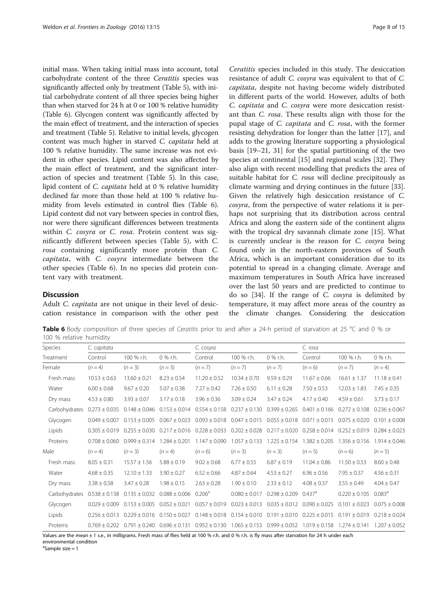initial mass. When taking initial mass into account, total carbohydrate content of the three Ceratitis species was significantly affected only by treatment (Table [5](#page-6-0)), with initial carbohydrate content of all three species being higher than when starved for 24 h at 0 or 100 % relative humidity (Table 6). Glycogen content was significantly affected by the main effect of treatment, and the interaction of species and treatment (Table [5](#page-6-0)). Relative to initial levels, glycogen content was much higher in starved C. capitata held at 100 % relative humidity. The same increase was not evident in other species. Lipid content was also affected by the main effect of treatment, and the significant interaction of species and treatment (Table [5](#page-6-0)). In this case, lipid content of C. capitata held at 0 % relative humidity declined far more than those held at 100 % relative humidity from levels estimated in control flies (Table 6). Lipid content did not vary between species in control flies, nor were there significant differences between treatments within C. cosyra or C. rosa. Protein content was significantly different between species (Table [5\)](#page-6-0), with C. rosa containing significantly more protein than C. capitata, with C. cosyra intermediate between the other species (Table 6). In no species did protein content vary with treatment.

## Discussion

Adult C. capitata are not unique in their level of desiccation resistance in comparison with the other pest

Ceratitis species included in this study. The desiccation resistance of adult C. cosyra was equivalent to that of C. capitata, despite not having become widely distributed in different parts of the world. However, adults of both C. capitata and C. cosyra were more desiccation resistant than C. rosa. These results align with those for the pupal stage of C. capitata and C. rosa, with the former resisting dehydration for longer than the latter [[17\]](#page-13-0), and adds to the growing literature supporting a physiological basis [[19](#page-13-0)–[21](#page-13-0), [31](#page-13-0)] for the spatial partitioning of the two species at continental [[15](#page-13-0)] and regional scales [[32](#page-13-0)]. They also align with recent modelling that predicts the area of suitable habitat for *C. rosa* will decline precipitously as climate warming and drying continues in the future [\[33](#page-13-0)]. Given the relatively high desiccation resistance of C. cosyra, from the perspective of water relations it is perhaps not surprising that its distribution across central Africa and along the eastern side of the continent aligns with the tropical dry savannah climate zone [[15\]](#page-13-0). What is currently unclear is the reason for C. cosyra being found only in the north-eastern provinces of South Africa, which is an important consideration due to its potential to spread in a changing climate. Average and maximum temperatures in South Africa have increased over the last 50 years and are predicted to continue to do so [[34\]](#page-13-0). If the range of C. cosyra is delimited by temperature, it may affect more areas of the country as the climate changes. Considering the desiccation

Table 6 Body composition of three species of Ceratitis prior to and after a 24-h period of starvation at 25 °C and 0 % or 100 % relative humidity

| Species       | C. capitata       |                   |                   | C. cosyra         |                   |                   | C. rosa              |                   |                    |
|---------------|-------------------|-------------------|-------------------|-------------------|-------------------|-------------------|----------------------|-------------------|--------------------|
| Treatment     | Control           | 100 % r.h.        | 0 % r.h.          | Control           | 100 % r.h.        | $0%$ r.h.         | Control              | 100 % r.h.        | 0 % r.h.           |
| Female        | $(n = 4)$         | $(n=3)$           | $(n=3)$           | $(n=7)$           | $(n=7)$           | $(n=7)$           | $(n=6)$              | $(n=7)$           | $(n = 4)$          |
| Fresh mass    | $10.53 \pm 0.63$  | $13.60 \pm 0.21$  | $8.23 \pm 0.54$   | $11.20 \pm 0.52$  | $10.34 \pm 0.70$  | $9.59 \pm 0.29$   | $11.67 \pm 0.66$     | $16.61 \pm 1.37$  | $11.18 \pm 0.41$   |
| Water         | $6.00 \pm 0.68$   | $9.67 \pm 0.20$   | $5.07 \pm 0.38$   | $7.27 \pm 0.42$   | $7.26 \pm 0.50$   | $6.11 \pm 0.28$   | $7.50 \pm 0.53$      | $12.03 \pm 1.83$  | $7.45 \pm 0.35$    |
| Dry mass      | $4.53 \pm 0.80$   | $3.93 \pm 0.07$   | $3.17 \pm 0.18$   | $3.96 \pm 0.36$   | $3.09 \pm 0.24$   | $3.47 \pm 0.24$   | $4.17 \pm 0.40$      | $4.59 \pm 0.61$   | $3.73 \pm 0.17$    |
| Carbohydrates | $0.273 \pm 0.035$ | $0.148 \pm 0.046$ | $0.153 \pm 0.014$ | $0.554 \pm 0.158$ | $0.237 \pm 0.130$ | $0.399 \pm 0.265$ | $0.401 \pm 0.166$    | $0.272 \pm 0.108$ | $0.236 \pm 0.067$  |
| Glycogen      | $0.049 \pm 0.007$ | $0.153 \pm 0.005$ | $0.067 \pm 0.023$ | $0.093 \pm 0.018$ | $0.047 \pm 0.015$ | $0.055 \pm 0.018$ | $0.071 \pm 0.015$    | $0.075 \pm 0.020$ | $0.101 \pm 0.008$  |
| Lipids        | $0.305 + 0.019$   | $0.255 \pm 0.030$ | $0.217 \pm 0.016$ | $0.228 \pm 0.033$ | $0.202 \pm 0.028$ | $0.217 \pm 0.020$ | $0.258 \pm 0.014$    | $0.252 \pm 0.019$ | $0.284 + 0.023$    |
| Proteins      | $0.708 + 0.060$   | $0.999 + 0.314$   | $1.284 + 0.201$   | $1.147 + 0.090$   | $1.057 + 0.133$   | $1.225 \pm 0.154$ | $1.382 \pm 0.205$    | $1.356 + 0.156$   | $1.914 + 0.046$    |
| Male          | $(n=4)$           | $(n=3)$           | $(n = 4)$         | $(n=6)$           | $(n=3)$           | $(n=3)$           | $(n=5)$              | $(n=6)$           | $(n=5)$            |
| Fresh mass    | $8.05 \pm 0.31$   | $15.57 \pm 1.56$  | $5.88 \pm 0.19$   | $9.02 \pm 0.68$   | $6.77 \pm 0.55$   | $6.87 \pm 0.19$   | $11.04 \pm 0.86$     | $11.50 \pm 0.53$  | $8.60 \pm 0.48$    |
| Water         | $4.68 \pm 0.35$   | $12.10 \pm 1.33$  | $3.90 \pm 0.27$   | $6.52 \pm 0.66$   | $4.87 \pm 0.64$   | $4.53 \pm 0.27$   | $6.96 \pm 0.56$      | $7.95 \pm 0.37$   | $4.56 \pm 0.31$    |
| Dry mass      | $3.38 \pm 0.58$   | $3.47 \pm 0.28$   | $1.98 \pm 0.15$   | $2.63 \pm 0.28$   | $1.90 \pm 0.10$   | $2.33 \pm 0.12$   | $4.08 \pm 0.37$      | $3.55 \pm 0.49$   | $4.04 \pm 0.47$    |
| Carbohydrates | $0.538 \pm 0.138$ | $0.135 \pm 0.032$ | $0.088 \pm 0.006$ | $0.206^a$         | $0.080 \pm 0.017$ | $0.298 \pm 0.209$ | $0.437$ <sup>a</sup> | $0.220 \pm 0.105$ | 0.083 <sup>a</sup> |
| Glycogen      | $0.029 + 0.009$   | $0.153 \pm 0.005$ | $0.052 + 0.021$   | $0.057 \pm 0.019$ | $0.023 + 0.013$   | $0.035 \pm 0.012$ | $0.090 + 0.025$      | $0.101 + 0.023$   | $0.075 + 0.008$    |
| Lipids        | $0.256 \pm 0.013$ | $0.229 \pm 0.016$ | $0.150 \pm 0.027$ | $0.148 \pm 0.018$ | $0.154 \pm 0.010$ | $0.191 \pm 0.010$ | $0.225 \pm 0.015$    | $0.191 \pm 0.019$ | $0.218 \pm 0.024$  |
| Proteins      | $0.769 + 0.202$   | $0.791 \pm 0.240$ | $0.696 \pm 0.131$ | $0.952 \pm 0.130$ | $1.065 \pm 0.153$ | $0.999 \pm 0.052$ | $1.019 \pm 0.158$    | $1.274 \pm 0.141$ | $1.207 \pm 0.052$  |

Values are the mean ± 1 s.e., in milligrams. Fresh mass of flies held at 100 % r.h. and 0 % r.h. is fly mass after starvation for 24 h under each environmental condition

<sup>a</sup>Sample size = 1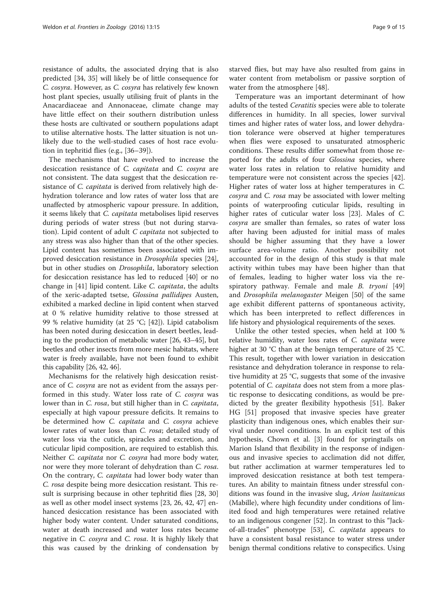resistance of adults, the associated drying that is also predicted [[34](#page-13-0), [35\]](#page-13-0) will likely be of little consequence for C. cosyra. However, as C. cosyra has relatively few known host plant species, usually utilising fruit of plants in the Anacardiaceae and Annonaceae, climate change may have little effect on their southern distribution unless these hosts are cultivated or southern populations adapt to utilise alternative hosts. The latter situation is not unlikely due to the well-studied cases of host race evolution in tephritid flies (e.g., [[36](#page-13-0)–[39\]](#page-13-0)).

The mechanisms that have evolved to increase the desiccation resistance of C. capitata and C. cosyra are not consistent. The data suggest that the desiccation resistance of *C. capitata* is derived from relatively high dehydration tolerance and low rates of water loss that are unaffected by atmospheric vapour pressure. In addition, it seems likely that C. capitata metabolises lipid reserves during periods of water stress (but not during starvation). Lipid content of adult C capitata not subjected to any stress was also higher than that of the other species. Lipid content has sometimes been associated with improved desiccation resistance in Drosophila species [\[24](#page-13-0)], but in other studies on Drosophila, laboratory selection for desiccation resistance has led to reduced [[40](#page-13-0)] or no change in [\[41\]](#page-13-0) lipid content. Like C. capitata, the adults of the xeric-adapted tsetse, Glossina pallidipes Austen, exhibited a marked decline in lipid content when starved at 0 % relative humidity relative to those stressed at 99 % relative humidity (at 25 °C; [\[42](#page-13-0)]). Lipid catabolism has been noted during desiccation in desert beetles, leading to the production of metabolic water [[26](#page-13-0), [43](#page-13-0)–[45\]](#page-13-0), but beetles and other insects from more mesic habitats, where water is freely available, have not been found to exhibit this capability [\[26](#page-13-0), [42](#page-13-0), [46\]](#page-13-0).

Mechanisms for the relatively high desiccation resistance of C. cosyra are not as evident from the assays performed in this study. Water loss rate of C. cosyra was lower than in C. rosa, but still higher than in C. capitata, especially at high vapour pressure deficits. It remains to be determined how C. capitata and C. cosyra achieve lower rates of water loss than C. rosa; detailed study of water loss via the cuticle, spiracles and excretion, and cuticular lipid composition, are required to establish this. Neither C. capitata nor C. cosyra had more body water, nor were they more tolerant of dehydration than C. rosa. On the contrary, C. capitata had lower body water than C. rosa despite being more desiccation resistant. This result is surprising because in other tephritid flies [\[28, 30](#page-13-0)] as well as other model insect systems [\[23](#page-13-0), [26](#page-13-0), [42](#page-13-0), [47\]](#page-13-0) enhanced desiccation resistance has been associated with higher body water content. Under saturated conditions, water at death increased and water loss rates became negative in *C. cosyra* and *C. rosa*. It is highly likely that this was caused by the drinking of condensation by

starved flies, but may have also resulted from gains in water content from metabolism or passive sorption of water from the atmosphere [[48](#page-13-0)].

Temperature was an important determinant of how adults of the tested Ceratitis species were able to tolerate differences in humidity. In all species, lower survival times and higher rates of water loss, and lower dehydration tolerance were observed at higher temperatures when flies were exposed to unsaturated atmospheric conditions. These results differ somewhat from those reported for the adults of four Glossina species, where water loss rates in relation to relative humidity and temperature were not consistent across the species [\[42](#page-13-0)]. Higher rates of water loss at higher temperatures in C. cosyra and C. rosa may be associated with lower melting points of waterproofing cuticular lipids, resulting in higher rates of cuticular water loss [[23](#page-13-0)]. Males of C. cosyra are smaller than females, so rates of water loss after having been adjusted for initial mass of males should be higher assuming that they have a lower surface area-volume ratio. Another possibility not accounted for in the design of this study is that male activity within tubes may have been higher than that of females, leading to higher water loss via the re-spiratory pathway. Female and male B. tryoni [\[49](#page-13-0)] and Drosophila melanogaster Meigen [[50\]](#page-14-0) of the same age exhibit different patterns of spontaneous activity, which has been interpreted to reflect differences in life history and physiological requirements of the sexes.

Unlike the other tested species, when held at 100 % relative humidity, water loss rates of C. capitata were higher at 30 °C than at the benign temperature of 25 °C. This result, together with lower variation in desiccation resistance and dehydration tolerance in response to relative humidity at 25 °C, suggests that some of the invasive potential of C. capitata does not stem from a more plastic response to desiccating conditions, as would be predicted by the greater flexibility hypothesis [[51\]](#page-14-0). Baker HG [[51](#page-14-0)] proposed that invasive species have greater plasticity than indigenous ones, which enables their survival under novel conditions. In an explicit test of this hypothesis, Chown et al. [[3\]](#page-13-0) found for springtails on Marion Island that flexibility in the response of indigenous and invasive species to acclimation did not differ, but rather acclimation at warmer temperatures led to improved desiccation resistance at both test temperatures. An ability to maintain fitness under stressful conditions was found in the invasive slug, Arion lusitanicus (Mabille), where high fecundity under conditions of limited food and high temperatures were retained relative to an indigenous congener [[52\]](#page-14-0). In contrast to this "Jackof-all-trades" phenotype [\[53\]](#page-14-0), C. capitata appears to have a consistent basal resistance to water stress under benign thermal conditions relative to conspecifics. Using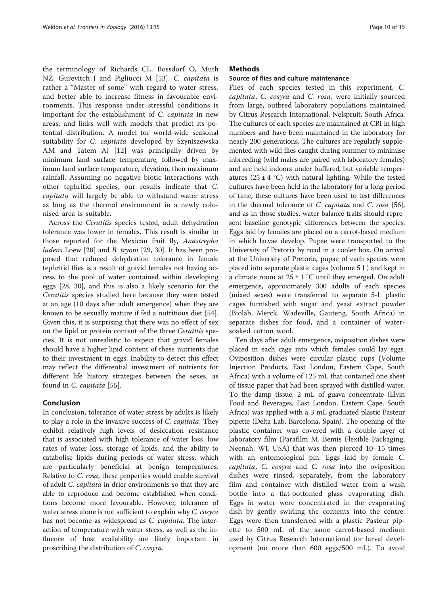the terminology of Richards CL, Bossdorf O, Muth NZ, Gurevitch J and Pigliucci M [\[53](#page-14-0)], C. capitata is rather a "Master of some" with regard to water stress, and better able to increase fitness in favourable environments. This response under stressful conditions is important for the establishment of C. capitata in new areas, and links well with models that predict its potential distribution. A model for world-wide seasonal suitability for C. capitata developed by Szyniszewska AM and Tatem AJ [\[12](#page-13-0)] was principally driven by minimum land surface temperature, followed by maximum land surface temperature, elevation, then maximum rainfall. Assuming no negative biotic interactions with other tephritid species, our results indicate that C. capitata will largely be able to withstand water stress as long as the thermal environment in a newly colonised area is suitable.

Across the Ceratitis species tested, adult dehydration tolerance was lower in females. This result is similar to those reported for the Mexican fruit fly, Anastrepha ludens Loew [[28](#page-13-0)] and B. tryoni [[29](#page-13-0), [30](#page-13-0)]. It has been proposed that reduced dehydration tolerance in female tephritid flies is a result of gravid females not having access to the pool of water contained within developing eggs [[28, 30](#page-13-0)], and this is also a likely scenario for the Ceratitis species studied here because they were tested at an age (10 days after adult emergence) when they are known to be sexually mature if fed a nutritious diet [\[54](#page-14-0)]. Given this, it is surprising that there was no effect of sex on the lipid or protein content of the three Ceratitis species. It is not unrealistic to expect that gravid females should have a higher lipid content of these nutrients due to their investment in eggs. Inability to detect this effect may reflect the differential investment of nutrients for different life history strategies between the sexes, as found in C. capitata [\[55](#page-14-0)].

## Conclusion

In conclusion, tolerance of water stress by adults is likely to play a role in the invasive success of C. capitata. They exhibit relatively high levels of desiccation resistance that is associated with high tolerance of water loss, low rates of water loss, storage of lipids, and the ability to catabolise lipids during periods of water stress, which are particularly beneficial at benign temperatures. Relative to *C. rosa*, these properties would enable survival of adult C. capitata in drier environments so that they are able to reproduce and become established when conditions become more favourable. However, tolerance of water stress alone is not sufficient to explain why C. cosyra has not become as widespread as *C. capitata*. The interaction of temperature with water stress, as well as the influence of host availability are likely important in proscribing the distribution of C. cosyra.

## **Methods**

#### Source of flies and culture maintenance

Flies of each species tested in this experiment, C. capitata, C. cosyra and C. rosa, were initially sourced from large, outbred laboratory populations maintained by Citrus Research International, Nelspruit, South Africa. The cultures of each species are maintained at CRI in high numbers and have been maintained in the laboratory for nearly 200 generations. The cultures are regularly supplemented with wild flies caught during summer to minimise inbreeding (wild males are paired with laboratory females) and are held indoors under buffered, but variable temperatures  $(25 \pm 4 \degree C)$  with natural lighting. While the tested cultures have been held in the laboratory for a long period of time, these cultures have been used to test differences in the thermal tolerance of C. capitata and C. rosa [[56](#page-14-0)], and as in those studies, water balance traits should represent baseline genotypic differences between the species. Eggs laid by females are placed on a carrot-based medium in which larvae develop. Pupae were transported to the University of Pretoria by road in a cooler box. On arrival at the University of Pretoria, pupae of each species were placed into separate plastic cages (volume 5 L) and kept in a climate room at  $25 \pm 1$  °C until they emerged. On adult emergence, approximately 300 adults of each species (mixed sexes) were transferred to separate 5-L plastic cages furnished with sugar and yeast extract powder (Biolab, Merck, Wadeville, Gauteng, South Africa) in separate dishes for food, and a container of watersoaked cotton wool.

Ten days after adult emergence, oviposition dishes were placed in each cage into which females could lay eggs. Oviposition dishes were circular plastic cups (Volume Injection Products, East London, Eastern Cape, South Africa) with a volume of 125 mL that contained one sheet of tissue paper that had been sprayed with distilled water. To the damp tissue, 2 mL of guava concentrate (Elvin Food and Beverages, East London, Eastern Cape, South Africa) was applied with a 3 mL graduated plastic Pasteur pipette (Delta Lab, Barcelona, Spain). The opening of the plastic container was covered with a double layer of laboratory film (Parafilm M, Bemis Flexible Packaging, Neenah, WI, USA) that was then pierced 10–15 times with an entomological pin. Eggs laid by female C. capitata, C. cosyra and C. rosa into the oviposition dishes were rinsed, separately, from the laboratory film and container with distilled water from a wash bottle into a flat-bottomed glass evaporating dish. Eggs in water were concentrated in the evaporating dish by gently swirling the contents into the centre. Eggs were then transferred with a plastic Pasteur pipette to 500 mL of the same carrot-based medium used by Citrus Research International for larval development (no more than 600 eggs/500 mL). To avoid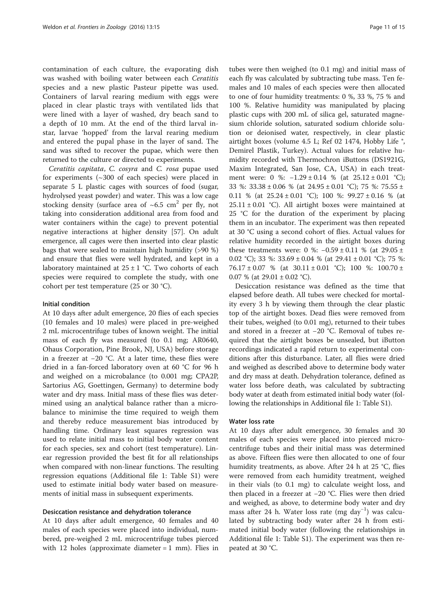contamination of each culture, the evaporating dish was washed with boiling water between each Ceratitis species and a new plastic Pasteur pipette was used. Containers of larval rearing medium with eggs were placed in clear plastic trays with ventilated lids that were lined with a layer of washed, dry beach sand to a depth of 10 mm. At the end of the third larval instar, larvae 'hopped' from the larval rearing medium and entered the pupal phase in the layer of sand. The sand was sifted to recover the pupae, which were then returned to the culture or directed to experiments.

Ceratitis capitata, C. cosyra and C. rosa pupae used for experiments  $(\sim 300$  of each species) were placed in separate 5 L plastic cages with sources of food (sugar, hydrolysed yeast powder) and water. This was a low cage stocking density (surface area of  $~6.5~cm^2$  per fly, not taking into consideration additional area from food and water containers within the cage) to prevent potential negative interactions at higher density [[57\]](#page-14-0). On adult emergence, all cages were then inserted into clear plastic bags that were sealed to maintain high humidity (>90 %) and ensure that flies were well hydrated, and kept in a laboratory maintained at  $25 \pm 1$  °C. Two cohorts of each species were required to complete the study, with one cohort per test temperature (25 or 30 °C).

## Initial condition

At 10 days after adult emergence, 20 flies of each species (10 females and 10 males) were placed in pre-weighed 2 mL microcentrifuge tubes of known weight. The initial mass of each fly was measured (to 0.1 mg; AR0640, Ohaus Corporation, Pine Brook, NJ, USA) before storage in a freezer at −20 °C. At a later time, these flies were dried in a fan-forced laboratory oven at 60 °C for 96 h and weighed on a microbalance (to 0.001 mg; CPA2P, Sartorius AG, Goettingen, Germany) to determine body water and dry mass. Initial mass of these flies was determined using an analytical balance rather than a microbalance to minimise the time required to weigh them and thereby reduce measurement bias introduced by handling time. Ordinary least squares regression was used to relate initial mass to initial body water content for each species, sex and cohort (test temperature). Linear regression provided the best fit for all relationships when compared with non-linear functions. The resulting regression equations (Additional file [1:](#page-12-0) Table S1) were used to estimate initial body water based on measurements of initial mass in subsequent experiments.

## Desiccation resistance and dehydration tolerance

At 10 days after adult emergence, 40 females and 40 males of each species were placed into individual, numbered, pre-weighed 2 mL microcentrifuge tubes pierced with 12 holes (approximate diameter  $= 1$  mm). Flies in

tubes were then weighed (to 0.1 mg) and initial mass of each fly was calculated by subtracting tube mass. Ten females and 10 males of each species were then allocated to one of four humidity treatments: 0 %, 33 %, 75 % and 100 %. Relative humidity was manipulated by placing plastic cups with 200 mL of silica gel, saturated magnesium chloride solution, saturated sodium chloride solution or deionised water, respectively, in clear plastic airtight boxes (volume 4.5 L; Ref 02 1474, Hobby Life ®, Demirel Plastik, Turkey). Actual values for relative humidity recorded with Thermochron iButtons (DS1921G, Maxim Integrated, San Jose, CA, USA) in each treatment were: 0 %: −1.29 ± 0.14 % (at 25.12 ± 0.01 °C); 33 %: 33.38 ± 0.06 % (at 24.95 ± 0.01 °C); 75 %: 75.55 ± 0.11 % (at  $25.24 \pm 0.01$  °C); 100 %:  $99.27 \pm 0.16$  % (at  $25.11 \pm 0.01$  °C). All airtight boxes were maintained at 25 °C for the duration of the experiment by placing them in an incubator. The experiment was then repeated at 30 °C using a second cohort of flies. Actual values for relative humidity recorded in the airtight boxes during these treatments were: 0 %:  $-0.59 \pm 0.11$  % (at 29.05 ± 0.02 °C); 33 %:  $33.69 \pm 0.04$  % (at  $29.41 \pm 0.01$  °C); 75 %: 76.17  $\pm$  0.07 % (at 30.11  $\pm$  0.01 °C); 100 %: 100.70  $\pm$ 0.07 % (at  $29.01 \pm 0.02$  °C).

Desiccation resistance was defined as the time that elapsed before death. All tubes were checked for mortality every 3 h by viewing them through the clear plastic top of the airtight boxes. Dead flies were removed from their tubes, weighed (to 0.01 mg), returned to their tubes and stored in a freezer at −20 °C. Removal of tubes required that the airtight boxes be unsealed, but iButton recordings indicated a rapid return to experimental conditions after this disturbance. Later, all flies were dried and weighed as described above to determine body water and dry mass at death. Dehydration tolerance, defined as water loss before death, was calculated by subtracting body water at death from estimated initial body water (following the relationships in Additional file [1:](#page-12-0) Table S1).

#### Water loss rate

At 10 days after adult emergence, 30 females and 30 males of each species were placed into pierced microcentrifuge tubes and their initial mass was determined as above. Fifteen flies were then allocated to one of four humidity treatments, as above. After 24 h at 25 °C, flies were removed from each humidity treatment, weighed in their vials (to 0.1 mg) to calculate weight loss, and then placed in a freezer at −20 °C. Flies were then dried and weighed, as above, to determine body water and dry mass after 24 h. Water loss rate (mg day−<sup>1</sup> ) was calculated by subtracting body water after 24 h from estimated initial body water (following the relationships in Additional file [1](#page-12-0): Table S1). The experiment was then repeated at 30 °C.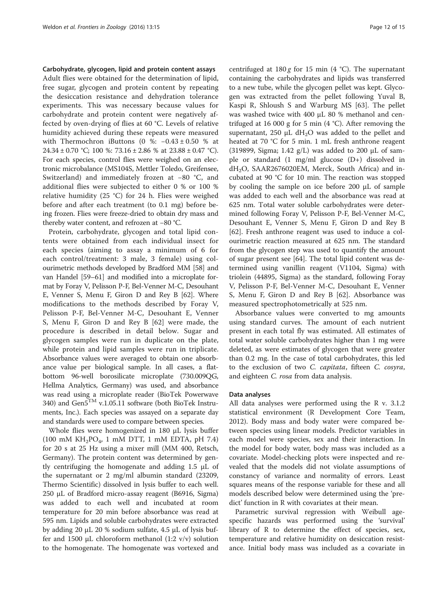Carbohydrate, glycogen, lipid and protein content assays

Adult flies were obtained for the determination of lipid, free sugar, glycogen and protein content by repeating the desiccation resistance and dehydration tolerance experiments. This was necessary because values for carbohydrate and protein content were negatively affected by oven-drying of flies at 60 °C. Levels of relative humidity achieved during these repeats were measured with Thermochron iButtons (0 %: −0.43 ± 0.50 % at  $24.34 \pm 0.70$  °C; 100 %:  $73.16 \pm 2.86$  % at  $23.88 \pm 0.47$  °C). For each species, control flies were weighed on an electronic microbalance (MS104S, Mettler Toledo, Greifensee, Switzerland) and immediately frozen at −80 °C, and additional flies were subjected to either 0 % or 100 % relative humidity (25 °C) for 24 h. Flies were weighed before and after each treatment (to 0.1 mg) before being frozen. Flies were freeze-dried to obtain dry mass and thereby water content, and refrozen at −80 °C.

Protein, carbohydrate, glycogen and total lipid contents were obtained from each individual insect for each species (aiming to assay a minimum of 6 for each control/treatment: 3 male, 3 female) using colourimetric methods developed by Bradford MM [[58](#page-14-0)] and van Handel [[59](#page-14-0)–[61\]](#page-14-0) and modified into a microplate format by Foray V, Pelisson P-F, Bel-Venner M-C, Desouhant E, Venner S, Menu F, Giron D and Rey B [\[62\]](#page-14-0). Where modifications to the methods described by Foray V, Pelisson P-F, Bel-Venner M-C, Desouhant E, Venner S, Menu F, Giron D and Rey B [\[62](#page-14-0)] were made, the procedure is described in detail below. Sugar and glycogen samples were run in duplicate on the plate, while protein and lipid samples were run in triplicate. Absorbance values were averaged to obtain one absorbance value per biological sample. In all cases, a flatbottom 96-well borosilicate microplate (730.009QG, Hellma Analytics, Germany) was used, and absorbance was read using a microplate reader (BioTek Powerwave 340) and  $Gen5<sup>TM</sup>$  v.1.05.11 software (both BioTek Instruments, Inc.). Each species was assayed on a separate day and standards were used to compare between species.

Whole flies were homogenized in 180 μL lysis buffer  $(100 \text{ mM } KH_{2}PO_{4}$ , 1 mM DTT, 1 mM EDTA, pH 7.4) for 20 s at 25 Hz using a mixer mill (MM 400, Retsch, Germany). The protein content was determined by gently centrifuging the homogenate and adding 1.5 μL of the supernatant or 2 mg/ml albumin standard (23209, Thermo Scientific) dissolved in lysis buffer to each well. 250 μL of Bradford micro-assay reagent (B6916, Sigma) was added to each well and incubated at room temperature for 20 min before absorbance was read at 595 nm. Lipids and soluble carbohydrates were extracted by adding 20 μL 20 % sodium sulfate, 4.5 μL of lysis buffer and 1500 μL chloroform methanol (1:2 v/v) solution to the homogenate. The homogenate was vortexed and centrifuged at  $180 g$  for 15 min (4 °C). The supernatant containing the carbohydrates and lipids was transferred to a new tube, while the glycogen pellet was kept. Glycogen was extracted from the pellet following Yuval B, Kaspi R, Shloush S and Warburg MS [[63](#page-14-0)]. The pellet was washed twice with 400 μL 80 % methanol and centrifuged at 16 000 g for 5 min  $(4 °C)$ . After removing the supernatant, 250  $\mu$ L dH<sub>2</sub>O was added to the pellet and heated at 70 °C for 5 min. 1 mL fresh anthrone reagent (319899, Sigma; 1.42 g/L) was added to 200  $\mu$ L of sample or standard (1 mg/ml glucose (D+) dissolved in dH<sub>2</sub>O, SAAR2676020EM, Merck, South Africa) and incubated at 90 °C for 10 min. The reaction was stopped by cooling the sample on ice before 200 μL of sample was added to each well and the absorbance was read at 625 nm. Total water soluble carbohydrates were determined following Foray V, Pelisson P-F, Bel-Venner M-C, Desouhant E, Venner S, Menu F, Giron D and Rey B [[62\]](#page-14-0). Fresh anthrone reagent was used to induce a colourimetric reaction measured at 625 nm. The standard from the glycogen step was used to quantify the amount of sugar present see [[64\]](#page-14-0). The total lipid content was determined using vanillin reagent (V1104, Sigma) with triolein (44895, Sigma) as the standard, following Foray V, Pelisson P-F, Bel-Venner M-C, Desouhant E, Venner S, Menu F, Giron D and Rey B [\[62](#page-14-0)]. Absorbance was measured spectrophotometrically at 525 nm.

Absorbance values were converted to mg amounts using standard curves. The amount of each nutrient present in each total fly was estimated. All estimates of total water soluble carbohydrates higher than 1 mg were deleted, as were estimates of glycogen that were greater than 0.2 mg. In the case of total carbohydrates, this led to the exclusion of two C. capitata, fifteen C. cosyra, and eighteen C. rosa from data analysis.

### Data analyses

All data analyses were performed using the R v. 3.1.2 statistical environment (R Development Core Team, 2012). Body mass and body water were compared between species using linear models. Predictor variables in each model were species, sex and their interaction. In the model for body water, body mass was included as a covariate. Model-checking plots were inspected and revealed that the models did not violate assumptions of constancy of variance and normality of errors. Least squares means of the response variable for these and all models described below were determined using the 'predict' function in R with covariates at their mean.

Parametric survival regression with Weibull agespecific hazards was performed using the 'survival' library of R to determine the effect of species, sex, temperature and relative humidity on desiccation resistance. Initial body mass was included as a covariate in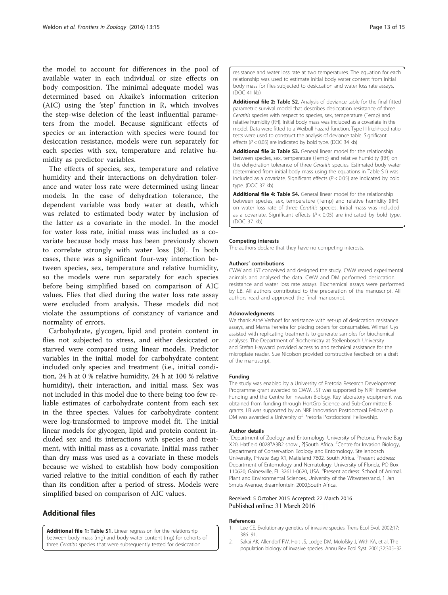<span id="page-12-0"></span>the model to account for differences in the pool of available water in each individual or size effects on body composition. The minimal adequate model was determined based on Akaike's information criterion (AIC) using the 'step' function in R, which involves the step-wise deletion of the least influential parameters from the model. Because significant effects of species or an interaction with species were found for desiccation resistance, models were run separately for each species with sex, temperature and relative humidity as predictor variables.

The effects of species, sex, temperature and relative humidity and their interactions on dehydration tolerance and water loss rate were determined using linear models. In the case of dehydration tolerance, the dependent variable was body water at death, which was related to estimated body water by inclusion of the latter as a covariate in the model. In the model for water loss rate, initial mass was included as a covariate because body mass has been previously shown to correlate strongly with water loss [\[30](#page-13-0)]. In both cases, there was a significant four-way interaction between species, sex, temperature and relative humidity, so the models were run separately for each species before being simplified based on comparison of AIC values. Flies that died during the water loss rate assay were excluded from analysis. These models did not violate the assumptions of constancy of variance and normality of errors.

Carbohydrate, glycogen, lipid and protein content in flies not subjected to stress, and either desiccated or starved were compared using linear models. Predictor variables in the initial model for carbohydrate content included only species and treatment (i.e., initial condition, 24 h at 0 % relative humidity, 24 h at 100 % relative humidity), their interaction, and initial mass. Sex was not included in this model due to there being too few reliable estimates of carbohydrate content from each sex in the three species. Values for carbohydrate content were log-transformed to improve model fit. The initial linear models for glycogen, lipid and protein content included sex and its interactions with species and treatment, with initial mass as a covariate. Initial mass rather than dry mass was used as a covariate in these models because we wished to establish how body composition varied relative to the initial condition of each fly rather than its condition after a period of stress. Models were simplified based on comparison of AIC values.

# Additional files

[Additional file 1:](dx.doi.org/10.1186/s12983-016-0147-z) Table S1. Linear regression for the relationship between body mass (mg) and body water content (mg) for cohorts of three Ceratitis species that were subsequently tested for desiccation

resistance and water loss rate at two temperatures. The equation for each relationship was used to estimate initial body water content from initial body mass for flies subjected to desiccation and water loss rate assays. (DOC 41 kb)

[Additional file 2:](dx.doi.org/10.1186/s12983-016-0147-z) Table S2. Analysis of deviance table for the final fitted parametric survival model that describes desiccation resistance of three Ceratitis species with respect to species, sex, temperature (Temp) and relative humidity (RH). Initial body mass was included as a covariate in the model. Data were fitted to a Weibull hazard function. Type III likelihood ratio tests were used to construct the analysis of deviance table. Significant effects ( $P$  < 0.05) are indicated by bold type. (DOC 34 kb)

[Additional file 3:](dx.doi.org/10.1186/s12983-016-0147-z) Table S3. General linear model for the relationship between species, sex, temperature (Temp) and relative humidity (RH) on the dehydration tolerance of three Ceratitis species. Estimated body water (determined from initial body mass using the equations in Table S1) was included as a covariate. Significant effects ( $P < 0.05$ ) are indicated by bold type. (DOC 37 kb)

[Additional file 4:](dx.doi.org/10.1186/s12983-016-0147-z) Table S4. General linear model for the relationship between species, sex, temperature (Temp) and relative humidity (RH) on water loss rate of three Ceratitis species. Initial mass was included as a covariate. Significant effects ( $P < 0.05$ ) are indicated by bold type. (DOC 37 kb)

#### Competing interests

The authors declare that they have no competing interests.

#### Authors' contributions

CWW and JST conceived and designed the study. CWW reared experimental animals and analysed the data. CWW and DM performed desiccation resistance and water loss rate assays. Biochemical assays were performed by LB. All authors contributed to the preparation of the manuscript. All authors read and approved the final manuscript.

#### Acknowledgments

We thank Arné Verhoef for assistance with set-up of desiccation resistance assays, and Marna Ferreira for placing orders for consumables. Wilmari Uys assisted with replicating treatments to generate samples for biochemical analyses. The Department of Biochemistry at Stellenbosch University and Stefan Hayward provided access to and technical assistance for the microplate reader. Sue Nicolson provided constructive feedback on a draft of the manuscript.

#### Funding

The study was enabled by a University of Pretoria Research Development Programme grant awarded to CWW. JST was supported by NRF Incentive Funding and the Centre for Invasion Biology. Key laboratory equipment was obtained from funding through HortGro Science and Sub-Committee B grants. LB was supported by an NRF Innovation Postdoctoral Fellowship. DM was awarded a University of Pretoria Postdoctoral Fellowship.

#### Author details

<sup>1</sup>Department of Zoology and Entomology, University of Pretoria, Private Bag X20, Hatfield 0028?A3B2 show, ?]South Africa. <sup>2</sup>Centre for Invasion Biology Department of Conservation Ecology and Entomology, Stellenbosch University, Private Bag X1, Matieland 7602, South Africa. <sup>3</sup>Present address Department of Entomology and Nematology, University of Florida, PO Box 110620, Gainesville, FL 32611-0620, USA. <sup>4</sup> Present address: School of Animal, Plant and Environmental Sciences, University of the Witwatersrand, 1 Jan Smuts Avenue, Braamfontein 2000,South Africa.

## Received: 5 October 2015 Accepted: 22 March 2016 Published online: 31 March 2016

#### References

- 1. Lee CE. Evolutionary genetics of invasive species. Trens Ecol Evol. 2002;17: 386–91.
- 2. Sakai AK, Allendorf FW, Holt JS, Lodge DM, Molofsky J, With KA, et al. The population biology of invasive species. Annu Rev Ecol Syst. 2001;32:305–32.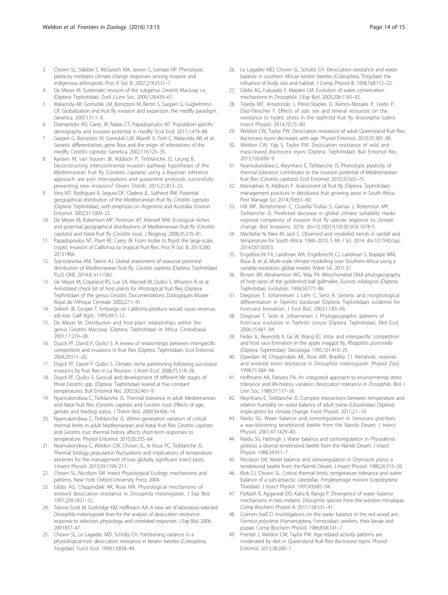- <span id="page-13-0"></span>3. Chown SL, Slabber S, McGeoch MA, Janion C, Leinaas HP. Phenotypic plasticity mediates climate change responses among invasive and indigenous arthropods. Proc R Soc B. 2007;274:2531–7.
- 4. De Meyer M. Systematic revision of the subgenus Ceratitis MacLeay s.s. (Diptera: Tephritidae). Zool J Linn Soc. 2000;128:439–67.
- 5. Malacrida AR, Gomulski LM, Bonizzoni M, Bertin S, Gasperi G, Guglielmino CR. Globalization and fruit fly invasion and expansion: the medfly paradigm. Genetica. 2007;131:1–9.
- 6. Diamantidis AD, Carey JR, Nakas CT, Papadopoulos NT. Population-specific demography and invasion potential in medfly. Ecol Evol. 2011;1:479–88.
- 7. Gasperi G, Bonizzoni M, Gomulski LM, Murelli V, Torti C, Malacrida AR, et al. Genetic differentiation, gene flow and the origin of infestations of the medfly, Ceratitis capitata. Genetica. 2002;116:125–35.
- 8. Karsten M, van Vuuren JB, Addison P, Terblanche JS, Leung B. Deconstructing intercontinental invasion pathway hypotheses of the Mediterranean fruit fly (Ceratitis capitata) using a Bayesian inference approach: are port interceptions and quarantine protocols successfully preventing new invasions? Divers Distrib. 2015;21:813–25.
- 9. Vera MT, Rodriguez R, Segura DF, Cladera JL, Sutherst RW. Potential geographical distribution of the Mediterranean fruit fly, Ceratitis capitata (Diptera: Tephritidae), with emphasis on Argentina and Australia. Environ Entomol. 2002;31:1009–22.
- 10. De Meyer M, Robertson MP, Peterson AT, Mansell MW. Ecological niches and potential geographical distributions of Mediterranean fruit fly (Ceratitis capitata) and Natal fruit fly (Ceratitis rosa). J Biogeog. 2008;35:270–81.
- 11. Papadopoulos NT, Plant RE, Carey JR. From trickle to flood: the large-scale, cryptic invasion of California by tropical fruit flies. Proc R Soc B. 2013;280: 20131466.
- 12. Szyniszewska AM, Tatem AJ. Global assessment of seasonal potential distribution of Mediterranean fruit fly, Ceratitis capitata (Diptera: Tephritidae). PLoS ONE. 2014;9, e111582.
- 13. De Meyer M, Copeland RS, Lux SA, Mansell M, Quilici S, Wharton R, et al. Annotated check list of host plants for Afrotropical fruit flies (Diptera: Tephritidae) of the genus Ceratitis. Documentations Zoologiques Musee Royal de l'Afrique Centrale. 2002;27:1–91.
- 14. Siebert JB, Cooper T. Embargo on California produce would cause revenue, job loss. Calif Agric. 1995;49:7–12.
- 15. De Meyer M. Distribution and host-plant relationships within the genus Ceratitis MacLeay (Diptera: Tephritidae) in Africa. Cimbebasia. 2001;17:219–28.
- 16. Duyck PF, David P, Quilici S. A review of relationships between interspecific competition and invasions in fruit flies (Diptera: Tephritidae). Ecol Entomol. 2004;29:511–20.
- 17. Duyck PF, David P, Quilici S. Climatic niche partitioning following successive invasions by fruit flies in La Réunion. J Anim Ecol. 2006;75:518–26.
- 18. Duyck PF, Quilici S. Survival and development of different life stages of three Ceratitis spp. (Diptera: Tephritidae) reared at five constant temperatures. Bull Entomol Res. 2002;92:461–9.
- 19. Nyamukondiwa C, Terblanche JS. Thermal tolerance in adult Mediterranean and Natal fruit flies (Ceratitis capitata and Ceratitis rosa): Effects of age, gender and feeding status. J Therm Biol. 2009;34:406–14.
- 20. Nyamukondiwa C, Terblanche JS. Within-generation variation of critical thermal limits in adult Mediterranean and Natal fruit flies Ceratitis capitata and Ceratitis rosa: thermal history affects short-term responses to temperature. Physiol Entomol. 2010;35:255–64.
- 21. Nyamukondiwa C, Weldon CW, Chown SL, le Roux PC, Terblanche JS. Thermal biology, population fluctuations and implications of temperature extremes for the management of two globally significant insect pests. J Insect Physiol. 2013;59:1199–211.
- 22. Chown SL, Nicolson SW. Insect Physiological Ecology: mechanisms and patterns. New York: Oxford University Press; 2004.
- 23. Gibbs AG, Chippindale AK, Rose MR. Physiological mechanisms of evolved desiccation resistance in Drosophila melanogaster. J Exp Biol. 1997;200:1821–32.
- 24. Telonis-Scott M, Guthridge KM, Hoffmann AA. A new set of laboratory-selected Drosophila melanogaster lines for the analysis of desiccation resistance: response to selection, physiology and correlated responses. J Exp Biol. 2006; 209:1837–47.
- 25. Chown SL, Le Lagadec MD, Scholtz CH. Partitioning variance in a physiological trait: desiccation resistance in keratin beetles (Coleoptera, Trogidae). Funct Ecol. 1999;13:838–44.
- 26. Le Lagadec MD, Chown SL, Scholtz CH. Desiccation resistance and water balance in southern African keratin beetles (Coleoptera, Trogidae): the influence of body size and habitat. J Comp Physiol B. 1998;168:112–22.
- 27. Gibbs AG, Fukuzato F, Matzkin LM. Evolution of water conservation mechanisms in Drosophila. J Exp Biol. 2003;206:1183–92.
- 28. Tejeda MT, Arredondo J, Pérez-Staples D, Ramos-Morales P, Liedo P, Díaz-Fleischer F. Effects of size, sex and teneral resources on the resistance to hydric stress in the tephritid fruit fly Anastrepha ludens. Insect Physiol. 2014;70:73–80.
- 29. Weldon CW, Taylor PW. Desiccation resistance of adult Queensland fruit flies Bactrocera tryoni decreases with age. Physiol Entomol. 2010;35:385–90.
- 30. Weldon CW, Yap S, Taylor PW. Desiccation resistance of wild and mass-reared Bactrocera tryoni (Diptera: Tephritidae). Bull Entomol Res. 2013;103:690–9.
- 31. Nyamukondiwa C, Kleynhans E, Terblanche JS. Phenotypic plasticity of thermal tolerance contributes to the invasion potential of Mediterranean fruit flies (Ceratitis capitata). Ecol Entomol. 2010;35:565–75.
- 32. Manrakhan A, Addison P. Assessment of fruit fly (Diptera: Tephritidae) management practices in deciduous fruit growing areas in South Africa. Pest Manage Sci. 2014;70:651–60.
- 33. Hill MP, Bertelsmeier C, Clusella-Trullas S, Garnas J, Robertson MP, Terblanche JS. Predicted decrease in global climate suitability masks regional complexity of invasive fruit fly species response to climate change. Biol Invasions. 2016. doi:[10.1007/s10530-016-1078-5](http://dx.doi.org/10.1007/s10530-016-1078-5).
- 34. MacKellar N, New M, Jack C. Observed and modelled trends in rainfall and temperature for South Africa: 1960–2010. S Afr J Sci. 2014. doi:[10.1590/sajs.](http://dx.doi.org/10.1590/sajs.2014/20130353) [2014/20130353](http://dx.doi.org/10.1590/sajs.2014/20130353).
- 35. Engelbrecht FA, Landman WA, Engelbrecht CJ, Landman S, Bopape MM, Roux B, et al. Multi-scale climate modelling over Southern Africa using a variable-resolution global model. Water SA. 2011;37.
- 36. Brown JM, Abrahamson WG, Way PA. Mitochondrial DNA phylogeography of host races of the goldenrod ball gallmaker, Eurosta solidaginis (Diptera: Tephritidae). Evolution. 1996;50:777–86.
- 37. Diegisser T, Johannesen J, Lehr C, Seitz A. Genetic and morphological differentiation in Tephritis bardanae (Diptera: Tephritidae): evidence for host-race formation. J Evol Biol. 2003;17:83–93.
- 38. Diegisser T, Seitz A, Johannesen J. Phylogeographic patterns of host-race evolution in Tephritis conura (Diptera: Tephritidae). Mol Ecol. 2006;15:681–94.
- 39. Feder JL, Reynolds K, Go W, Wang EC. Intra- and interspecific competition and host race formation in the apple maggot fly, Rhagoletis pomonella (Diptera: Tephritidae). Oecologia. 1995;101:416–25.
- 40. Djawdan M, Chippindale AK, Rose MR, Bradley TJ. Metabolic reserves and evolved stress resistance in Drosophila melanogaster. Physiol Zool. 1998;71:584–94.
- 41. Hoffmann AA, Parsons PA. An integrated approach to environmental stress tolerance and life-history variation: desiccation tolerance in Drosophila. Biol J Linn Soc. 1989;37:117–36.
- 42. Kleynhans E, Terblanche JS. Complex interactions between temperature and relative humidity on water balance of adult tsetse (Glossinidae: Diptera): implications for climate change. Front Physiol. 2011;2:1–10.
- 43. Naidu SG. Water balance and osmoregulation in Stenocara gracilipes, a wax-blooming tenebrionid beetle from the Namib Desert. J Insect Physiol. 2001;47:1429–40.
- 44. Naidu SG, Hattingh J. Water balance and osmoregulation in Physademia globosa, a diurnal tenebrionid beetle from the Namib Desert. J Insect Physiol. 1988;34:911–7.
- 45. Nicolson SW. Water balance and osmoregulation in Onymacris plana, a tenebrionid beetle from the Namib Desert. J Insect Physiol. 1980;26:315–20.
- 46. Klok CJ, Chown SL. Critical thermal limits, temperature tolerance and water balance of a sub-antarctic caterpillar, Pringleophaga marioni (Lepidoptera: Tineidae). J Insect Physiol. 1997;43:685–94.
- 47. Parkash R, Aggarwal DD, Kalra B, Ranga P. Divergence of water balance mechanisms in two melanic Drosophila species from the western Himalayas. Comp Biochem Physiol A. 2011;158:531–41.
- 48. Coenen-Staß D. Investigations on the water balance in the red wood ant, Formica polyctena (Hymenoptera, Formicidae): workers, their larvae and pupae. Comp Biochem Physiol. 1986;83A:141–7.
- 49. Prenter J, Weldon CW, Taylor PW. Age-related activity patterns are moderated by diet in Queensland fruit flies Bactrocera tryoni. Physiol Entomol. 2013;38:260–7.